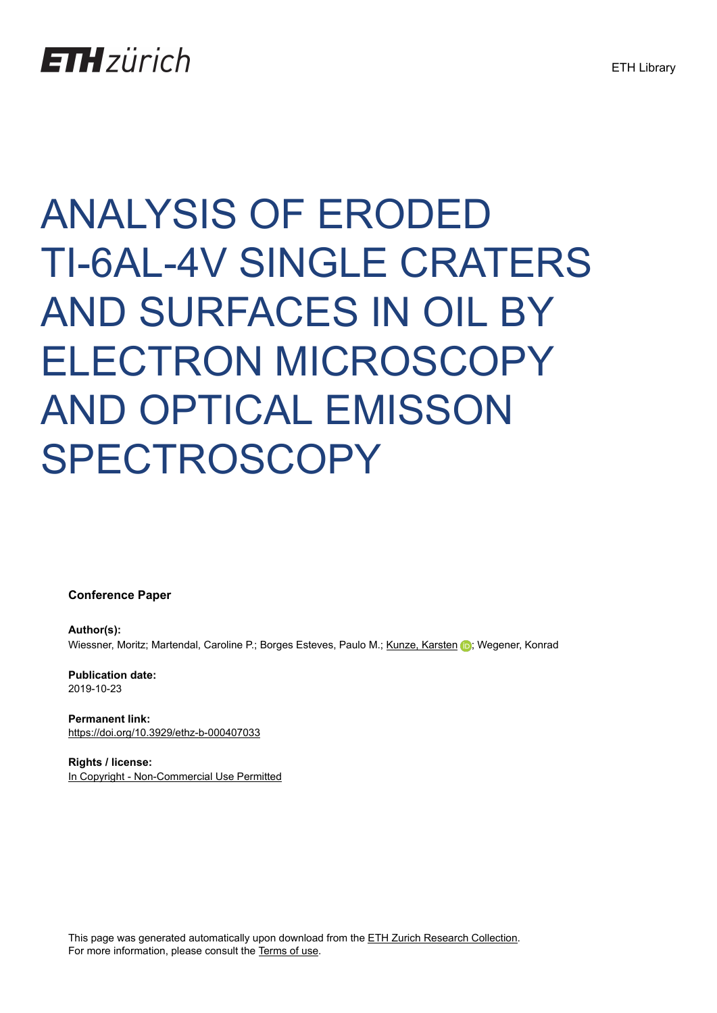## **ETH**zürich

# ANALYSIS OF ERODED TI-6AL-4V SINGLE CRATERS AND SURFACES IN OIL BY ELECTRON MICROSCOPY AND OPTICAL EMISSON SPECTROSCOPY

**Conference Paper**

**Author(s):** Wiessner, Moritz; Martendal, Caroline P.; Borges Esteves, Paulo M.; [Kunze, Karsten](https://orcid.org/0000-0003-4682-8017) D.; Wegener, Konrad

**Publication date:** 2019-10-23

**Permanent link:** <https://doi.org/10.3929/ethz-b-000407033>

**Rights / license:** [In Copyright - Non-Commercial Use Permitted](http://rightsstatements.org/page/InC-NC/1.0/)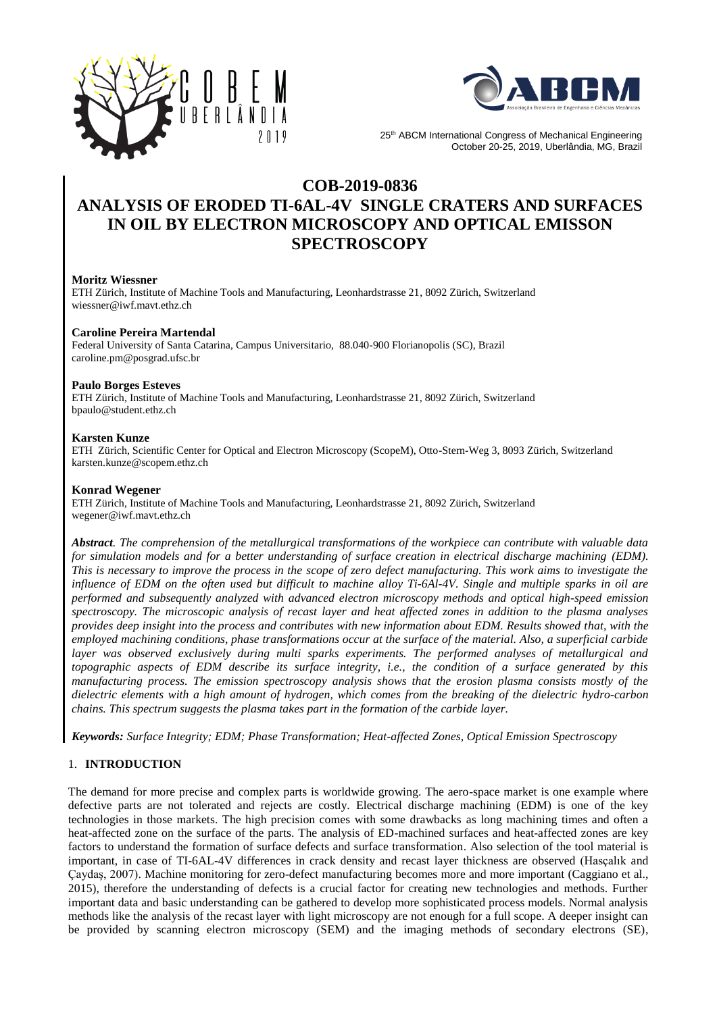



25<sup>th</sup> ABCM International Congress of Mechanical Engineering October 20-25, 2019, Uberlândia, MG, Brazil

### **COB-2019-0836 ANALYSIS OF ERODED TI-6AL-4V SINGLE CRATERS AND SURFACES IN OIL BY ELECTRON MICROSCOPY AND OPTICAL EMISSON SPECTROSCOPY**

#### **Moritz Wiessner**

ETH Zürich, Institute of Machine Tools and Manufacturing, Leonhardstrasse 21, 8092 Zürich, Switzerland [wiessner@iwf.mavt.ethz.ch](mailto:wiessner@iwf.mavt.ethz.ch)

#### **Caroline Pereira Martendal**

Federal University of Santa Catarina, Campus Universitario, 88.040-900 Florianopolis (SC), Brazil caroline.pm@posgrad.ufsc.br

#### **Paulo Borges Esteves**

ETH Zürich, Institute of Machine Tools and Manufacturing, Leonhardstrasse 21, 8092 Zürich, Switzerland bpaulo@student.ethz.ch

#### **Karsten Kunze**

ETH Zürich, Scientific Center for Optical and Electron Microscopy (ScopeM), Otto-Stern-Weg 3, 8093 Zürich, Switzerland karsten.kunze@scopem.ethz.ch

#### **Konrad Wegener**

ETH Zürich, Institute of Machine Tools and Manufacturing, Leonhardstrasse 21, 8092 Zürich, Switzerland wegener@iwf.mavt.ethz.ch

*Abstract. The comprehension of the metallurgical transformations of the workpiece can contribute with valuable data for simulation models and for a better understanding of surface creation in electrical discharge machining (EDM). This is necessary to improve the process in the scope of zero defect manufacturing. This work aims to investigate the influence of EDM on the often used but difficult to machine alloy Ti-6Al-4V. Single and multiple sparks in oil are performed and subsequently analyzed with advanced electron microscopy methods and optical high-speed emission spectroscopy. The microscopic analysis of recast layer and heat affected zones in addition to the plasma analyses provides deep insight into the process and contributes with new information about EDM. Results showed that, with the employed machining conditions, phase transformations occur at the surface of the material. Also, a superficial carbide layer was observed exclusively during multi sparks experiments. The performed analyses of metallurgical and topographic aspects of EDM describe its surface integrity, i.e., the condition of a surface generated by this manufacturing process. The emission spectroscopy analysis shows that the erosion plasma consists mostly of the dielectric elements with a high amount of hydrogen, which comes from the breaking of the dielectric hydro-carbon chains. This spectrum suggests the plasma takes part in the formation of the carbide layer.*

*Keywords: Surface Integrity; EDM; Phase Transformation; Heat-affected Zones, Optical Emission Spectroscopy*

#### 1. **INTRODUCTION**

The demand for more precise and complex parts is worldwide growing. The aero-space market is one example where defective parts are not tolerated and rejects are costly. Electrical discharge machining (EDM) is one of the key technologies in those markets. The high precision comes with some drawbacks as long machining times and often a heat-affected zone on the surface of the parts. The analysis of ED-machined surfaces and heat-affected zones are key factors to understand the formation of surface defects and surface transformation. Also selection of the tool material is important, in case of TI-6AL-4V differences in crack density and recast layer thickness are observed (Hasçalık and Çaydaş, 2007). Machine monitoring for zero-defect manufacturing becomes more and more important (Caggiano et al., 2015), therefore the understanding of defects is a crucial factor for creating new technologies and methods. Further important data and basic understanding can be gathered to develop more sophisticated process models. Normal analysis methods like the analysis of the recast layer with light microscopy are not enough for a full scope. A deeper insight can be provided by scanning electron microscopy (SEM) and the imaging methods of secondary electrons (SE),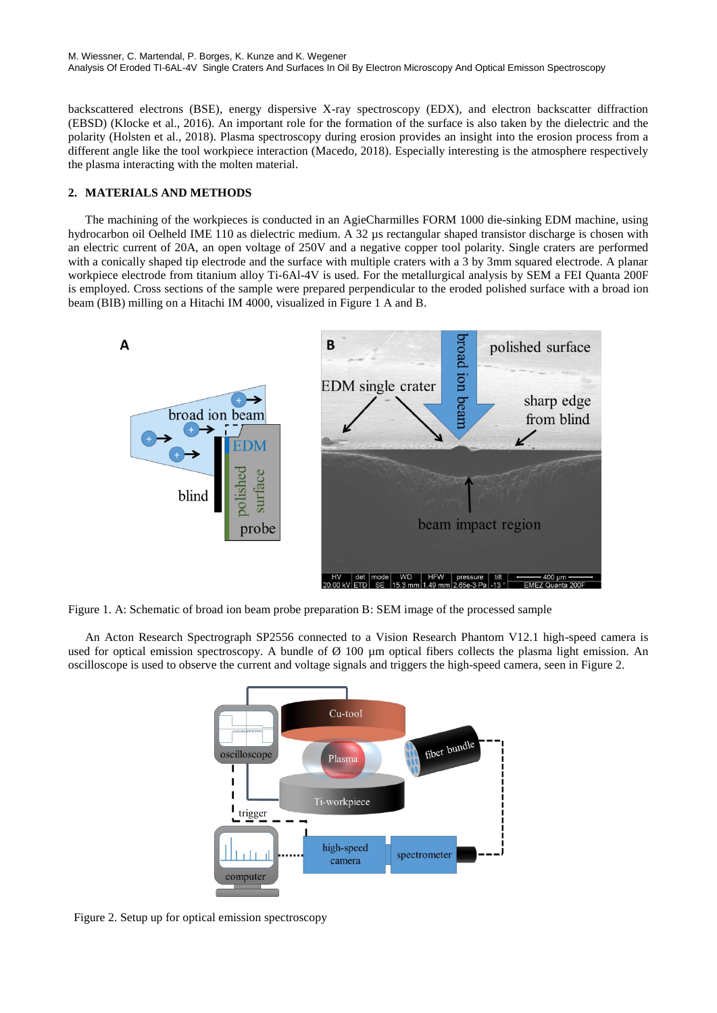backscattered electrons (BSE), energy dispersive X-ray spectroscopy (EDX), and electron backscatter diffraction (EBSD) (Klocke et al., 2016). An important role for the formation of the surface is also taken by the dielectric and the polarity (Holsten et al., 2018). Plasma spectroscopy during erosion provides an insight into the erosion process from a different angle like the tool workpiece interaction (Macedo, 2018). Especially interesting is the atmosphere respectively the plasma interacting with the molten material.

#### **2. MATERIALS AND METHODS**

The machining of the workpieces is conducted in an AgieCharmilles FORM 1000 die-sinking EDM machine, using hydrocarbon oil Oelheld IME 110 as dielectric medium. A 32 µs rectangular shaped transistor discharge is chosen with an electric current of 20A, an open voltage of 250V and a negative copper tool polarity. Single craters are performed with a conically shaped tip electrode and the surface with multiple craters with a 3 by 3mm squared electrode. A planar workpiece electrode from titanium alloy Ti-6Al-4V is used. For the metallurgical analysis by SEM a FEI Quanta 200F is employed. Cross sections of the sample were prepared perpendicular to the eroded polished surface with a broad ion beam (BIB) milling on a Hitachi IM 4000, visualized in Figure 1 A and B.



Figure 1. A: Schematic of broad ion beam probe preparation B: SEM image of the processed sample

An Acton Research Spectrograph SP2556 connected to a Vision Research Phantom V12.1 high-speed camera is used for optical emission spectroscopy. A bundle of  $\varnothing$  100 µm optical fibers collects the plasma light emission. An oscilloscope is used to observe the current and voltage signals and triggers the high-speed camera, seen in Figure 2.



Figure 2. Setup up for optical emission spectroscopy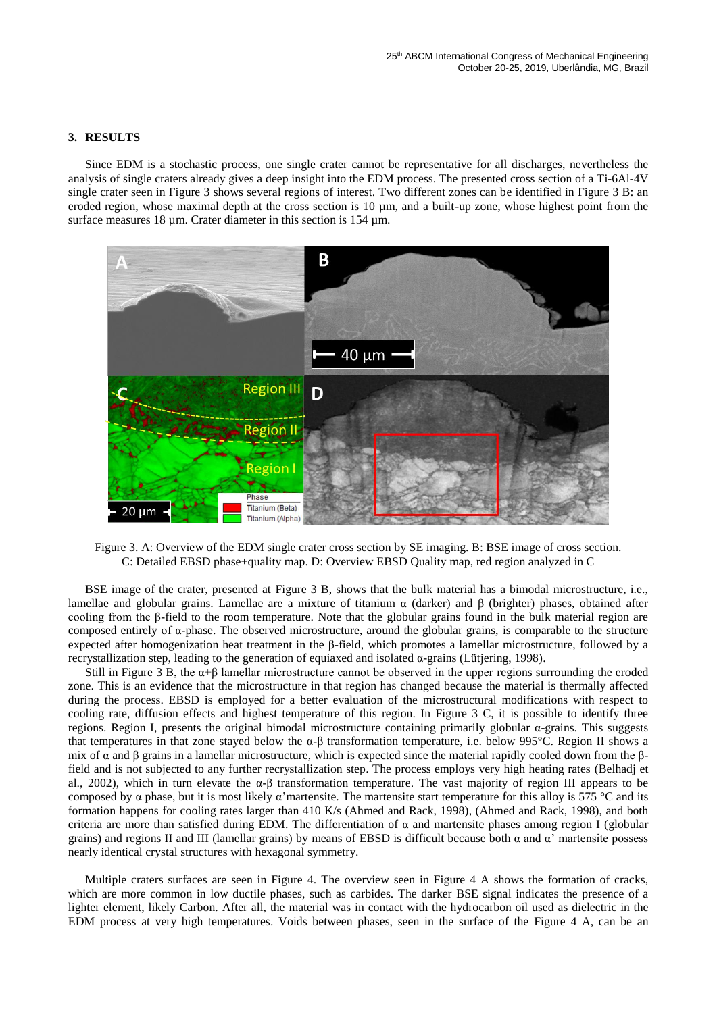#### **3. RESULTS**

Since EDM is a stochastic process, one single crater cannot be representative for all discharges, nevertheless the analysis of single craters already gives a deep insight into the EDM process. The presented cross section of a Ti-6Al-4V single crater seen in Figure 3 shows several regions of interest. Two different zones can be identified in Figure 3 B: an eroded region, whose maximal depth at the cross section is  $10 \mu m$ , and a built-up zone, whose highest point from the surface measures 18 µm. Crater diameter in this section is 154 µm.



Figure 3. A: Overview of the EDM single crater cross section by SE imaging. B: BSE image of cross section. C: Detailed EBSD phase+quality map. D: Overview EBSD Quality map, red region analyzed in C

BSE image of the crater, presented at Figure 3 B, shows that the bulk material has a bimodal microstructure, i.e., lamellae and globular grains. Lamellae are a mixture of titanium α (darker) and β (brighter) phases, obtained after cooling from the β-field to the room temperature. Note that the globular grains found in the bulk material region are composed entirely of α-phase. The observed microstructure, around the globular grains, is comparable to the structure expected after homogenization heat treatment in the β-field, which promotes a lamellar microstructure, followed by a recrystallization step, leading to the generation of equiaxed and isolated α-grains (Lütjering, 1998).

Still in Figure 3 B, the  $\alpha+\beta$  lamellar microstructure cannot be observed in the upper regions surrounding the eroded zone. This is an evidence that the microstructure in that region has changed because the material is thermally affected during the process. EBSD is employed for a better evaluation of the microstructural modifications with respect to cooling rate, diffusion effects and highest temperature of this region. In Figure 3 C, it is possible to identify three regions. Region I, presents the original bimodal microstructure containing primarily globular α-grains. This suggests that temperatures in that zone stayed below the α-β transformation temperature, i.e. below 995°C. Region II shows a mix of α and β grains in a lamellar microstructure, which is expected since the material rapidly cooled down from the βfield and is not subjected to any further recrystallization step. The process employs very high heating rates (Belhadj et al., 2002), which in turn elevate the α-β transformation temperature. The vast majority of region III appears to be composed by α phase, but it is most likely α'martensite. The martensite start temperature for this alloy is 575 °C and its formation happens for cooling rates larger than 410 K/s (Ahmed and Rack, 1998), (Ahmed and Rack, 1998), and both criteria are more than satisfied during EDM. The differentiation of  $\alpha$  and martensite phases among region I (globular grains) and regions II and III (lamellar grains) by means of EBSD is difficult because both  $\alpha$  and  $\alpha'$  martensite possess nearly identical crystal structures with hexagonal symmetry.

Multiple craters surfaces are seen in Figure 4. The overview seen in Figure 4 A shows the formation of cracks, which are more common in low ductile phases, such as carbides. The darker BSE signal indicates the presence of a lighter element, likely Carbon. After all, the material was in contact with the hydrocarbon oil used as dielectric in the EDM process at very high temperatures. Voids between phases, seen in the surface of the Figure 4 A, can be an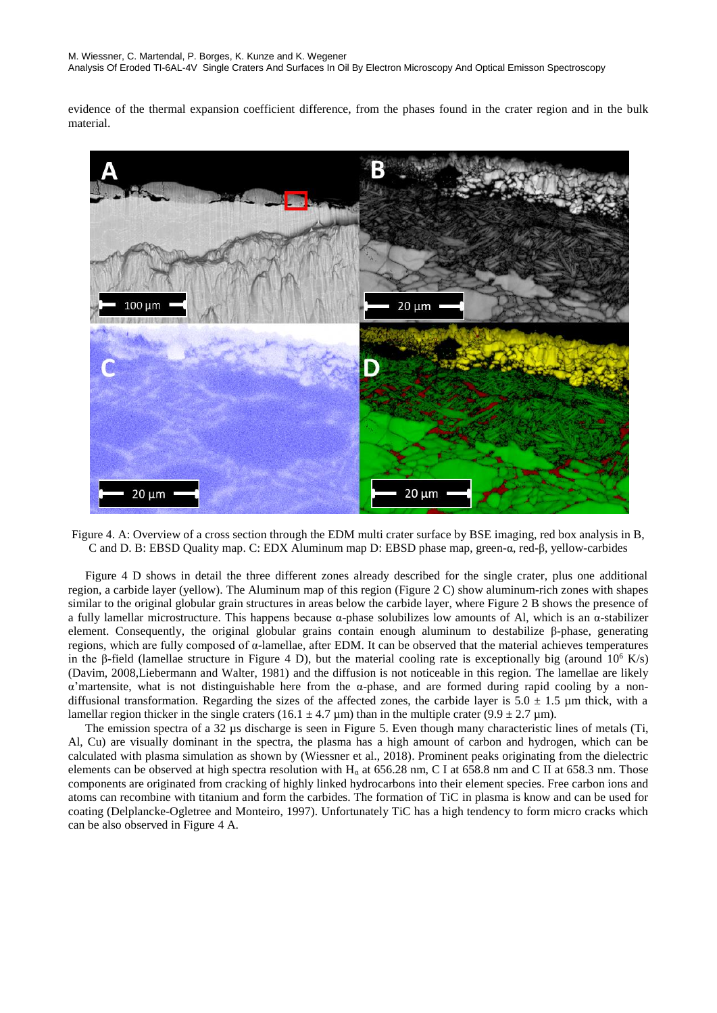evidence of the thermal expansion coefficient difference, from the phases found in the crater region and in the bulk material.



Figure 4. A: Overview of a cross section through the EDM multi crater surface by BSE imaging, red box analysis in B, C and D. B: EBSD Quality map. C: EDX Aluminum map D: EBSD phase map, green-α, red-β, yellow-carbides

Figure 4 D shows in detail the three different zones already described for the single crater, plus one additional region, a carbide layer (yellow). The Aluminum map of this region (Figure 2 C) show aluminum-rich zones with shapes similar to the original globular grain structures in areas below the carbide layer, where Figure 2 B shows the presence of a fully lamellar microstructure. This happens because α-phase solubilizes low amounts of Al, which is an α-stabilizer element. Consequently, the original globular grains contain enough aluminum to destabilize β-phase, generating regions, which are fully composed of α-lamellae, after EDM. It can be observed that the material achieves temperatures in the β-field (lamellae structure in Figure 4 D), but the material cooling rate is exceptionally big (around  $10^6$  K/s) (Davim, 2008,Liebermann and Walter, 1981) and the diffusion is not noticeable in this region. The lamellae are likely α'martensite, what is not distinguishable here from the α-phase, and are formed during rapid cooling by a nondiffusional transformation. Regarding the sizes of the affected zones, the carbide layer is  $5.0 \pm 1.5 \mu m$  thick, with a lamellar region thicker in the single craters (16.1  $\pm$  4.7 µm) than in the multiple crater (9.9  $\pm$  2.7 µm).

The emission spectra of a 32 µs discharge is seen in Figure 5. Even though many characteristic lines of metals (Ti, Al, Cu) are visually dominant in the spectra, the plasma has a high amount of carbon and hydrogen, which can be calculated with plasma simulation as shown by (Wiessner et al., 2018). Prominent peaks originating from the dielectric elements can be observed at high spectra resolution with  $H<sub>a</sub>$  at 656.28 nm, C I at 658.8 nm and C II at 658.3 nm. Those components are originated from cracking of highly linked hydrocarbons into their element species. Free carbon ions and atoms can recombine with titanium and form the carbides. The formation of TiC in plasma is know and can be used for coating (Delplancke-Ogletree and Monteiro, 1997). Unfortunately TiC has a high tendency to form micro cracks which can be also observed in Figure 4 A.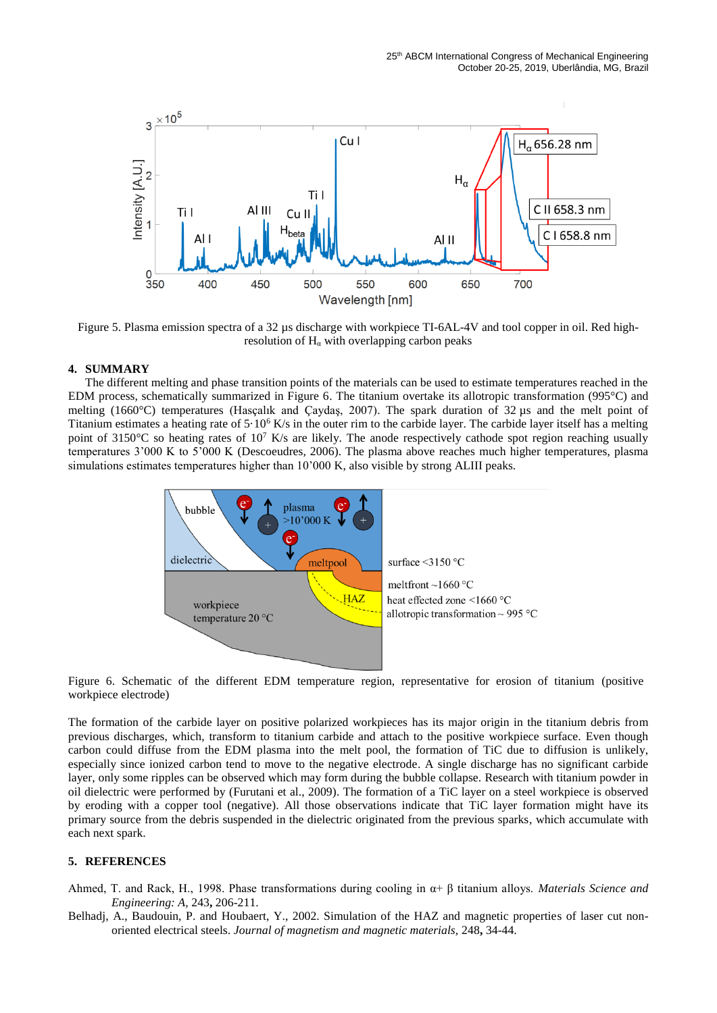

Figure 5. Plasma emission spectra of a 32 µs discharge with workpiece TI-6AL-4V and tool copper in oil. Red highresolution of  $H<sub>a</sub>$  with overlapping carbon peaks

#### **4. SUMMARY**

The different melting and phase transition points of the materials can be used to estimate temperatures reached in the EDM process, schematically summarized in Figure 6. The titanium overtake its allotropic transformation (995°C) and melting (1660°C) temperatures (Hasçalık and Çaydaş, 2007). The spark duration of 32 µs and the melt point of Titanium estimates a heating rate of  $5.10<sup>6</sup>$  K/s in the outer rim to the carbide layer. The carbide layer itself has a melting point of 3150°C so heating rates of 10<sup>7</sup> K/s are likely. The anode respectively cathode spot region reaching usually temperatures 3'000 K to 5'000 K (Descoeudres, 2006). The plasma above reaches much higher temperatures, plasma simulations estimates temperatures higher than 10'000 K, also visible by strong ALIII peaks.



Figure 6. Schematic of the different EDM temperature region, representative for erosion of titanium (positive workpiece electrode)

The formation of the carbide layer on positive polarized workpieces has its major origin in the titanium debris from previous discharges, which, transform to titanium carbide and attach to the positive workpiece surface. Even though carbon could diffuse from the EDM plasma into the melt pool, the formation of TiC due to diffusion is unlikely, especially since ionized carbon tend to move to the negative electrode. A single discharge has no significant carbide layer, only some ripples can be observed which may form during the bubble collapse. Research with titanium powder in oil dielectric were performed by (Furutani et al., 2009). The formation of a TiC layer on a steel workpiece is observed by eroding with a copper tool (negative). All those observations indicate that TiC layer formation might have its primary source from the debris suspended in the dielectric originated from the previous sparks, which accumulate with each next spark.

#### **5. REFERENCES**

- Ahmed, T. and Rack, H., 1998. Phase transformations during cooling in α+ β titanium alloys. *Materials Science and Engineering: A,* 243**,** 206-211.
- Belhadj, A., Baudouin, P. and Houbaert, Y., 2002. Simulation of the HAZ and magnetic properties of laser cut nonoriented electrical steels. *Journal of magnetism and magnetic materials,* 248**,** 34-44.